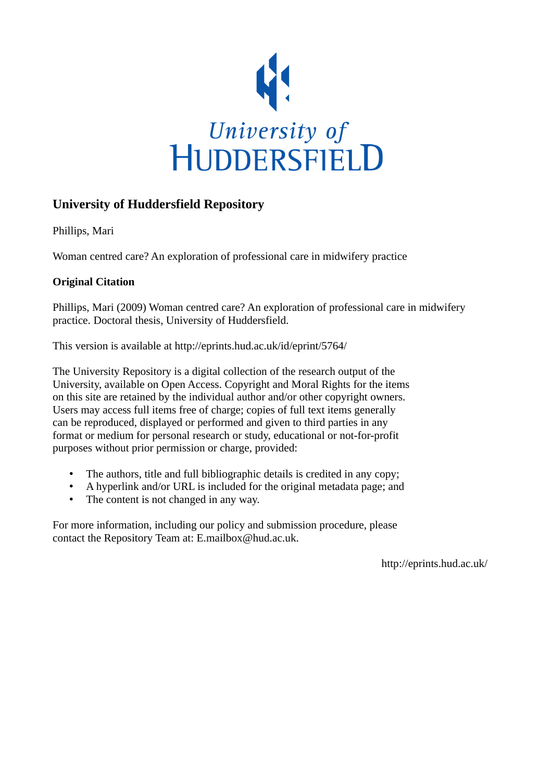

# **University of Huddersfield Repository**

Phillips, Mari

Woman centred care? An exploration of professional care in midwifery practice

## **Original Citation**

Phillips, Mari (2009) Woman centred care? An exploration of professional care in midwifery practice. Doctoral thesis, University of Huddersfield.

This version is available at http://eprints.hud.ac.uk/id/eprint/5764/

The University Repository is a digital collection of the research output of the University, available on Open Access. Copyright and Moral Rights for the items on this site are retained by the individual author and/or other copyright owners. Users may access full items free of charge; copies of full text items generally can be reproduced, displayed or performed and given to third parties in any format or medium for personal research or study, educational or not-for-profit purposes without prior permission or charge, provided:

- The authors, title and full bibliographic details is credited in any copy;
- A hyperlink and/or URL is included for the original metadata page; and
- The content is not changed in any way.

For more information, including our policy and submission procedure, please contact the Repository Team at: E.mailbox@hud.ac.uk.

http://eprints.hud.ac.uk/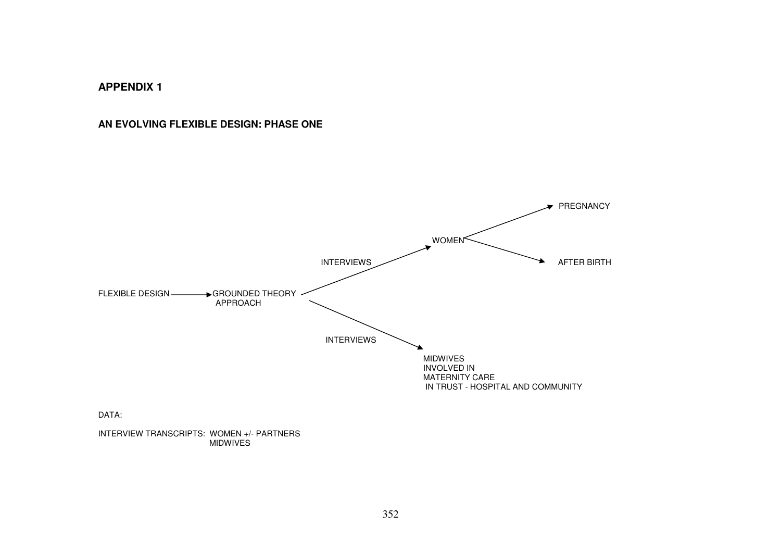## **AN EVOLVING FLEXIBLE DESIGN: PHASE ONE**



MIDWIVES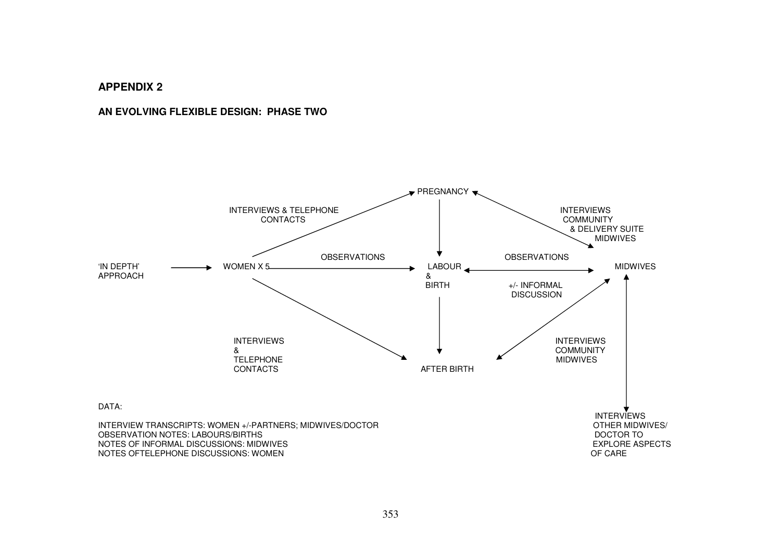## **AN EVOLVING FLEXIBLE DESIGN: PHASE TWO**

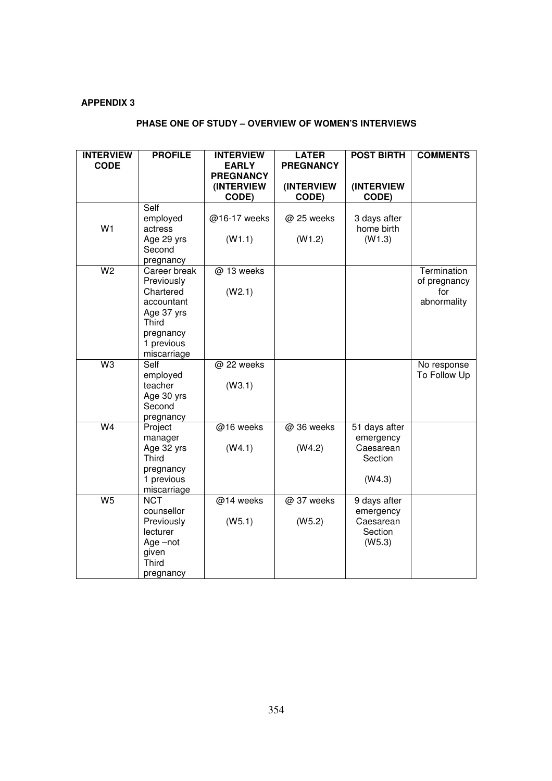| <b>INTERVIEW</b> | <b>PROFILE</b>             | <b>INTERVIEW</b> | <b>LATER</b>     | <b>POST BIRTH</b>    | <b>COMMENTS</b> |
|------------------|----------------------------|------------------|------------------|----------------------|-----------------|
| <b>CODE</b>      |                            | <b>EARLY</b>     | <b>PREGNANCY</b> |                      |                 |
|                  |                            | <b>PREGNANCY</b> |                  |                      |                 |
|                  |                            | (INTERVIEW       | (INTERVIEW       | (INTERVIEW           |                 |
|                  |                            | CODE)            | CODE)            | CODE)                |                 |
|                  | Self<br>employed           | @16-17 weeks     | @ 25 weeks       | 3 days after         |                 |
| W <sub>1</sub>   | actress                    |                  |                  | home birth           |                 |
|                  | Age 29 yrs                 | (W1.1)           | (W1.2)           | (W1.3)               |                 |
|                  | Second                     |                  |                  |                      |                 |
|                  | pregnancy                  |                  |                  |                      |                 |
| $\overline{W}$   | Career break               | @ 13 weeks       |                  |                      | Termination     |
|                  | Previously                 |                  |                  |                      | of pregnancy    |
|                  | Chartered                  | (W2.1)           |                  |                      | for             |
|                  | accountant                 |                  |                  |                      | abnormality     |
|                  | Age 37 yrs                 |                  |                  |                      |                 |
|                  | Third                      |                  |                  |                      |                 |
|                  | pregnancy<br>1 previous    |                  |                  |                      |                 |
|                  | miscarriage                |                  |                  |                      |                 |
| $W_3$            | Self                       | @ 22 weeks       |                  |                      | No response     |
|                  | employed                   |                  |                  |                      | To Follow Up    |
|                  | teacher                    | (W3.1)           |                  |                      |                 |
|                  | Age 30 yrs                 |                  |                  |                      |                 |
|                  | Second                     |                  |                  |                      |                 |
|                  | pregnancy                  |                  |                  |                      |                 |
| $\overline{W4}$  | Project                    | @16 weeks        | @ 36 weeks       | 51 days after        |                 |
|                  | manager                    |                  |                  | emergency            |                 |
|                  | Age 32 yrs<br><b>Third</b> | (W4.1)           | (W4.2)           | Caesarean<br>Section |                 |
|                  | pregnancy                  |                  |                  |                      |                 |
|                  | 1 previous                 |                  |                  | (W4.3)               |                 |
|                  | miscarriage                |                  |                  |                      |                 |
| W <sub>5</sub>   | <b>NCT</b>                 | @14 weeks        | @ 37 weeks       | 9 days after         |                 |
|                  | counsellor                 |                  |                  | emergency            |                 |
|                  | Previously                 | (W5.1)           | (W5.2)           | Caesarean            |                 |
|                  | lecturer                   |                  |                  | Section              |                 |
|                  | Age -not                   |                  |                  | (W5.3)               |                 |
|                  | given                      |                  |                  |                      |                 |
|                  | Third                      |                  |                  |                      |                 |
|                  | pregnancy                  |                  |                  |                      |                 |

## **PHASE ONE OF STUDY – OVERVIEW OF WOMEN'S INTERVIEWS**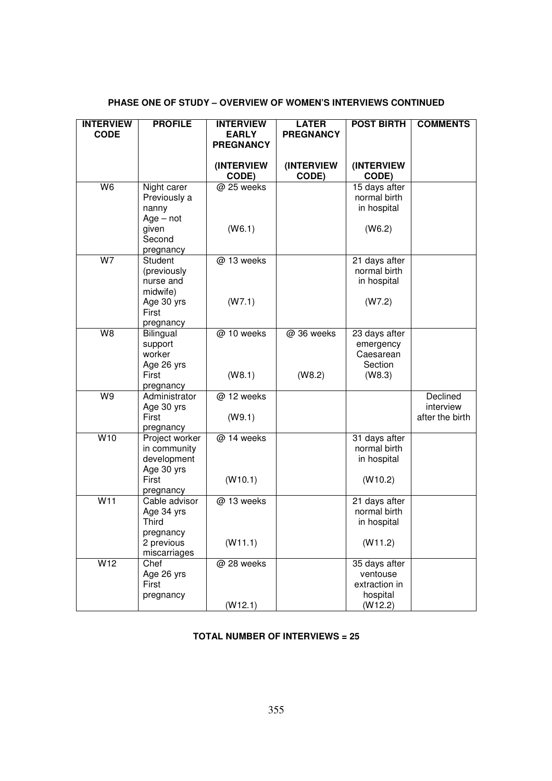## **PHASE ONE OF STUDY – OVERVIEW OF WOMEN'S INTERVIEWS CONTINUED**

| <b>INTERVIEW</b><br><b>CODE</b> | <b>PROFILE</b>                                                                      | <b>INTERVIEW</b><br><b>EARLY</b> | <b>LATER</b><br><b>PREGNANCY</b> | <b>POST BIRTH</b>                                                 | <b>COMMENTS</b>                          |
|---------------------------------|-------------------------------------------------------------------------------------|----------------------------------|----------------------------------|-------------------------------------------------------------------|------------------------------------------|
|                                 |                                                                                     | <b>PREGNANCY</b>                 |                                  |                                                                   |                                          |
|                                 |                                                                                     | (INTERVIEW<br>CODE)              | (INTERVIEW<br>CODE)              | (INTERVIEW<br>CODE)                                               |                                          |
| W <sub>6</sub>                  | Night carer<br>Previously a<br>nanny<br>$Age - not$<br>given<br>Second<br>pregnancy | @ 25 weeks<br>(W6.1)             |                                  | 15 days after<br>normal birth<br>in hospital<br>(W6.2)            |                                          |
| W7                              | Student<br>(previously<br>nurse and<br>midwife)<br>Age 30 yrs<br>First<br>pregnancy | @ 13 weeks<br>(W7.1)             |                                  | 21 days after<br>normal birth<br>in hospital<br>(W7.2)            |                                          |
| $\overline{\mathsf{W}}$ 8       | Bilingual<br>support<br>worker<br>Age 26 yrs<br>First<br>pregnancy                  | @ 10 weeks<br>(W8.1)             | @ 36 weeks<br>(W8.2)             | 23 days after<br>emergency<br>Caesarean<br>Section<br>(W8.3)      |                                          |
| W9                              | Administrator<br>Age 30 yrs<br>First<br>pregnancy                                   | @ 12 weeks<br>(W9.1)             |                                  |                                                                   | Declined<br>interview<br>after the birth |
| W10                             | Project worker<br>in community<br>development<br>Age 30 yrs<br>First<br>pregnancy   | @ 14 weeks<br>(W10.1)            |                                  | 31 days after<br>normal birth<br>in hospital<br>(W10.2)           |                                          |
| W11                             | Cable advisor<br>Age 34 yrs<br>Third<br>pregnancy<br>2 previous<br>miscarriages     | @ 13 weeks<br>(W11.1)            |                                  | 21 days after<br>normal birth<br>in hospital<br>(W11.2)           |                                          |
| W12                             | Chef<br>Age 26 yrs<br>First<br>pregnancy                                            | @ 28 weeks<br>(W12.1)            |                                  | 35 days after<br>ventouse<br>extraction in<br>hospital<br>(W12.2) |                                          |

## **TOTAL NUMBER OF INTERVIEWS = 25**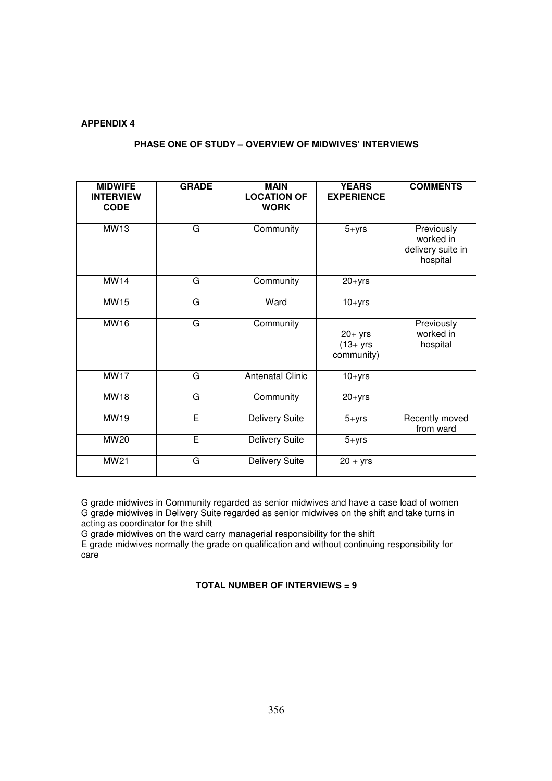## **PHASE ONE OF STUDY – OVERVIEW OF MIDWIVES' INTERVIEWS**

| <b>MIDWIFE</b><br><b>INTERVIEW</b><br><b>CODE</b> | <b>GRADE</b> | <b>MAIN</b><br><b>LOCATION OF</b><br><b>WORK</b> | <b>YEARS</b><br><b>EXPERIENCE</b>       | <b>COMMENTS</b>                                          |
|---------------------------------------------------|--------------|--------------------------------------------------|-----------------------------------------|----------------------------------------------------------|
| <b>MW13</b>                                       | G            | Community                                        | $5 + yrs$                               | Previously<br>worked in<br>delivery suite in<br>hospital |
| <b>MW14</b>                                       | G            | Community                                        | $20 + yrs$                              |                                                          |
| <b>MW15</b>                                       | G            | Ward                                             | $10 + yrs$                              |                                                          |
| <b>MW16</b>                                       | G            | Community                                        | $20+$ yrs<br>$(13 + yrs)$<br>community) | Previously<br>worked in<br>hospital                      |
| MW17                                              | G            | <b>Antenatal Clinic</b>                          | $10+yrs$                                |                                                          |
| <b>MW18</b>                                       | G            | Community                                        | $20 + yrs$                              |                                                          |
| MW19                                              | E            | <b>Delivery Suite</b>                            | $5 + yrs$                               | Recently moved<br>from ward                              |
| MW20                                              | Ē            | <b>Delivery Suite</b>                            | $5 + yrs$                               |                                                          |
| <b>MW21</b>                                       | G            | <b>Delivery Suite</b>                            | $20 + yrs$                              |                                                          |

G grade midwives in Community regarded as senior midwives and have a case load of women G grade midwives in Delivery Suite regarded as senior midwives on the shift and take turns in acting as coordinator for the shift

G grade midwives on the ward carry managerial responsibility for the shift

E grade midwives normally the grade on qualification and without continuing responsibility for care

## **TOTAL NUMBER OF INTERVIEWS = 9**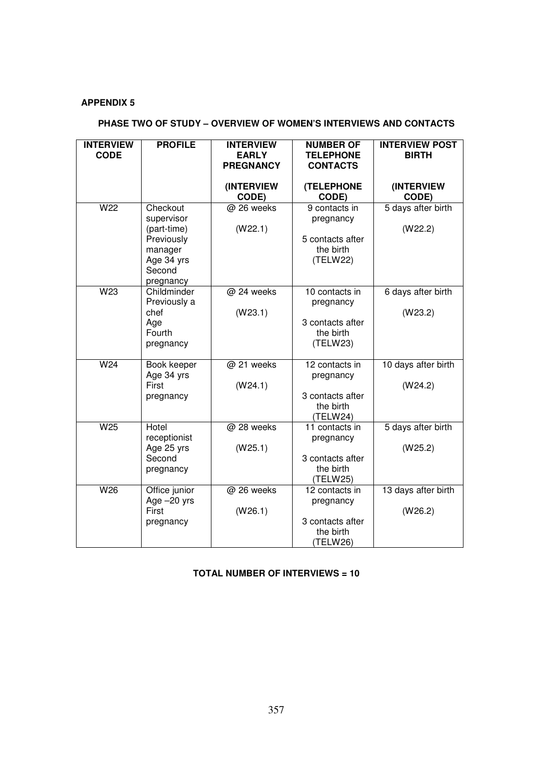## **PHASE TWO OF STUDY – OVERVIEW OF WOMEN'S INTERVIEWS AND CONTACTS**

| <b>INTERVIEW</b><br><b>CODE</b> | <b>PROFILE</b>                                                                                      | <b>INTERVIEW</b><br><b>EARLY</b><br><b>PREGNANCY</b> | <b>NUMBER OF</b><br><b>TELEPHONE</b><br><b>CONTACTS</b>                  | <b>INTERVIEW POST</b><br><b>BIRTH</b> |
|---------------------------------|-----------------------------------------------------------------------------------------------------|------------------------------------------------------|--------------------------------------------------------------------------|---------------------------------------|
|                                 |                                                                                                     | (INTERVIEW<br>CODE)                                  | <b>(TELEPHONE</b><br>CODE)                                               | (INTERVIEW<br>CODE)                   |
| W <sub>22</sub>                 | Checkout<br>supervisor<br>(part-time)<br>Previously<br>manager<br>Age 34 yrs<br>Second<br>pregnancy | @ 26 weeks<br>(W22.1)                                | 9 contacts in<br>pregnancy<br>5 contacts after<br>the birth<br>(TELW22)  | 5 days after birth<br>(W22.2)         |
| W <sub>23</sub>                 | Childminder<br>Previously a<br>chef<br>Age<br>Fourth<br>pregnancy                                   | @ 24 weeks<br>(W23.1)                                | 10 contacts in<br>pregnancy<br>3 contacts after<br>the birth<br>(TELW23) | 6 days after birth<br>(W23.2)         |
| W24                             | Book keeper<br>Age 34 yrs<br>First<br>pregnancy                                                     | @ 21 weeks<br>(W24.1)                                | 12 contacts in<br>pregnancy<br>3 contacts after<br>the birth<br>(TELW24) | 10 days after birth<br>(W24.2)        |
| W25                             | Hotel<br>receptionist<br>Age 25 yrs<br>Second<br>pregnancy                                          | @ 28 weeks<br>(W25.1)                                | 11 contacts in<br>pregnancy<br>3 contacts after<br>the birth<br>(TELW25) | 5 days after birth<br>(W25.2)         |
| W26                             | Office junior<br>Age -20 yrs<br>First<br>pregnancy                                                  | @ 26 weeks<br>(W26.1)                                | 12 contacts in<br>pregnancy<br>3 contacts after<br>the birth<br>(TELW26) | 13 days after birth<br>(W26.2)        |

## **TOTAL NUMBER OF INTERVIEWS = 10**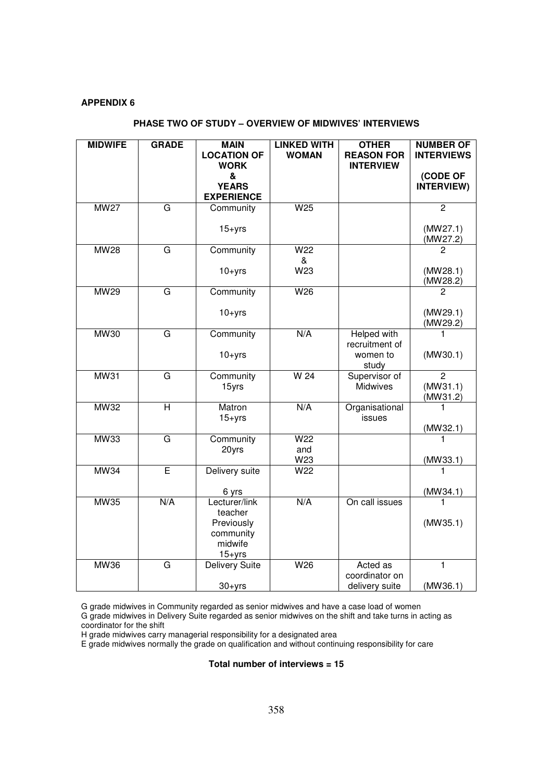## **PHASE TWO OF STUDY – OVERVIEW OF MIDWIVES' INTERVIEWS**

| <b>MIDWIFE</b> | <b>GRADE</b>   | <b>MAIN</b><br><b>LOCATION OF</b><br><b>WORK</b><br>&<br><b>YEARS</b><br><b>EXPERIENCE</b> | <b>LINKED WITH</b><br><b>WOMAN</b> | <b>OTHER</b><br><b>REASON FOR</b><br><b>INTERVIEW</b> | <b>NUMBER OF</b><br><b>INTERVIEWS</b><br>(CODE OF<br>INTERVIEW) |
|----------------|----------------|--------------------------------------------------------------------------------------------|------------------------------------|-------------------------------------------------------|-----------------------------------------------------------------|
| <b>MW27</b>    | $\overline{G}$ | Community                                                                                  | W <sub>25</sub>                    |                                                       | $\overline{2}$                                                  |
|                |                | $15 + yrs$                                                                                 |                                    |                                                       | (MW27.1)<br>(MW27.2)                                            |
| <b>MW28</b>    | G              | Community                                                                                  | W <sub>22</sub>                    |                                                       | 2                                                               |
|                |                | $10 + yrs$                                                                                 | &<br>W23                           |                                                       | (MW28.1)<br>(MW28.2)                                            |
| <b>MW29</b>    | G              | Community                                                                                  | W26                                |                                                       | 2                                                               |
|                |                | $10 + yrs$                                                                                 |                                    |                                                       | (MW29.1)<br>(MW29.2)                                            |
| <b>MW30</b>    | G              | Community<br>$10+yrs$                                                                      | N/A                                | Helped with<br>recruitment of<br>women to<br>study    | (MW30.1)                                                        |
| <b>MW31</b>    | G              | Community<br>15yrs                                                                         | $\overline{W}$ 24                  | Supervisor of<br>Midwives                             | 2<br>(MW31.1)<br>(MW31.2)                                       |
| <b>MW32</b>    | $\overline{H}$ | Matron<br>$15 + yrs$                                                                       | N/A                                | Organisational<br>issues                              | 1<br>(MW32.1)                                                   |
| MW33           | G              | Community<br>20yrs                                                                         | W <sub>22</sub><br>and<br>W23      |                                                       | 1<br>(MW33.1)                                                   |
| <b>MW34</b>    | Ē              | Delivery suite<br>6 yrs                                                                    | W22                                |                                                       | (MW34.1)                                                        |
| <b>MW35</b>    | N/A            | Lecturer/link<br>teacher<br>Previously<br>community<br>midwife<br>$15 + yrs$               | N/A                                | On call issues                                        | 1<br>(MW35.1)                                                   |
| <b>MW36</b>    | G              | <b>Delivery Suite</b><br>$30 + yrs$                                                        | W26                                | Acted as<br>coordinator on<br>delivery suite          | $\mathbf{1}$<br>(MW36.1)                                        |

G grade midwives in Community regarded as senior midwives and have a case load of women

G grade midwives in Delivery Suite regarded as senior midwives on the shift and take turns in acting as coordinator for the shift

H grade midwives carry managerial responsibility for a designated area

E grade midwives normally the grade on qualification and without continuing responsibility for care

**Total number of interviews = 15**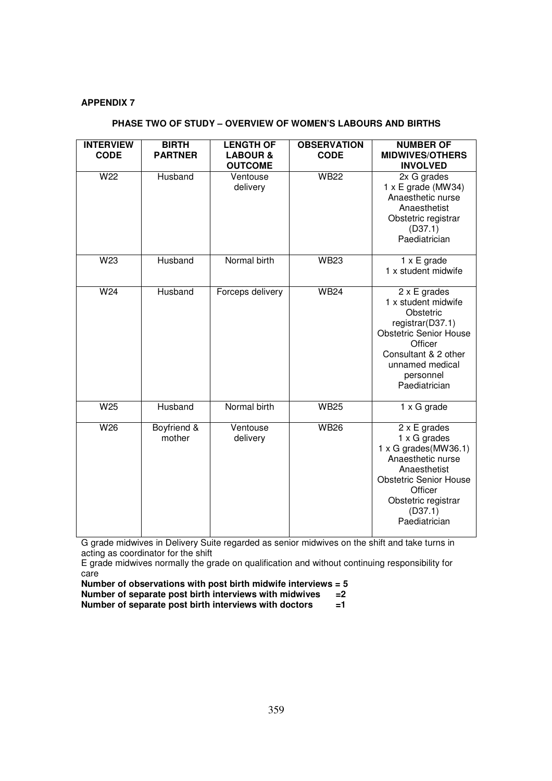## **PHASE TWO OF STUDY – OVERVIEW OF WOMEN'S LABOURS AND BIRTHS**

| <b>INTERVIEW</b> | <b>BIRTH</b>          | <b>LENGTH OF</b>                      | <b>OBSERVATION</b> | <b>NUMBER OF</b>                                                                                                                                                                                       |
|------------------|-----------------------|---------------------------------------|--------------------|--------------------------------------------------------------------------------------------------------------------------------------------------------------------------------------------------------|
| <b>CODE</b>      | <b>PARTNER</b>        | <b>LABOUR &amp;</b><br><b>OUTCOME</b> | <b>CODE</b>        | <b>MIDWIVES/OTHERS</b><br><b>INVOLVED</b>                                                                                                                                                              |
| W22              | Husband               | Ventouse<br>delivery                  | <b>WB22</b>        | 2x G grades<br>$1 \times E$ grade (MW34)<br>Anaesthetic nurse<br>Anaesthetist<br>Obstetric registrar<br>(D37.1)<br>Paediatrician                                                                       |
| W23              | Husband               | Normal birth                          | <b>WB23</b>        | $1 \times E$ grade<br>1 x student midwife                                                                                                                                                              |
| W <sub>24</sub>  | Husband               | Forceps delivery                      | <b>WB24</b>        | $2 \times E$ grades<br>1 x student midwife<br>Obstetric<br>registrar(D37.1)<br><b>Obstetric Senior House</b><br>Officer<br>Consultant & 2 other<br>unnamed medical<br>personnel<br>Paediatrician       |
| W <sub>25</sub>  | Husband               | Normal birth                          | <b>WB25</b>        | 1 x G grade                                                                                                                                                                                            |
| W <sub>26</sub>  | Boyfriend &<br>mother | Ventouse<br>delivery                  | <b>WB26</b>        | $2 \times E$ grades<br>1 x G grades<br>$1 \times G$ grades(MW36.1)<br>Anaesthetic nurse<br>Anaesthetist<br><b>Obstetric Senior House</b><br>Officer<br>Obstetric registrar<br>(D37.1)<br>Paediatrician |

G grade midwives in Delivery Suite regarded as senior midwives on the shift and take turns in acting as coordinator for the shift

E grade midwives normally the grade on qualification and without continuing responsibility for care

**Number of observations with post birth midwife interviews = 5 Number of separate post birth interviews with midwives =2 Number of separate post birth interviews with doctors =1**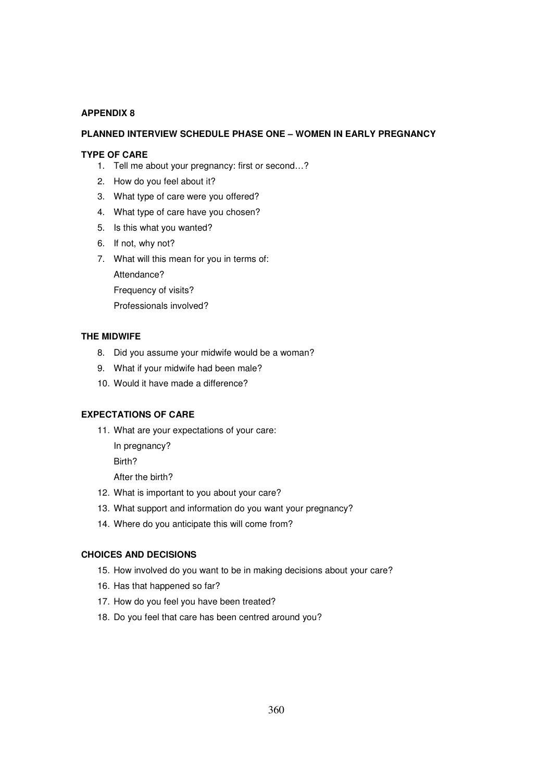### **PLANNED INTERVIEW SCHEDULE PHASE ONE – WOMEN IN EARLY PREGNANCY**

#### **TYPE OF CARE**

- 1. Tell me about your pregnancy: first or second…?
- 2. How do you feel about it?
- 3. What type of care were you offered?
- 4. What type of care have you chosen?
- 5. Is this what you wanted?
- 6. If not, why not?
- 7. What will this mean for you in terms of:

Attendance?

Frequency of visits?

Professionals involved?

### **THE MIDWIFE**

- 8. Did you assume your midwife would be a woman?
- 9. What if your midwife had been male?
- 10. Would it have made a difference?

### **EXPECTATIONS OF CARE**

11. What are your expectations of your care:

In pregnancy?

Birth?

After the birth?

- 12. What is important to you about your care?
- 13. What support and information do you want your pregnancy?
- 14. Where do you anticipate this will come from?

### **CHOICES AND DECISIONS**

- 15. How involved do you want to be in making decisions about your care?
- 16. Has that happened so far?
- 17. How do you feel you have been treated?
- 18. Do you feel that care has been centred around you?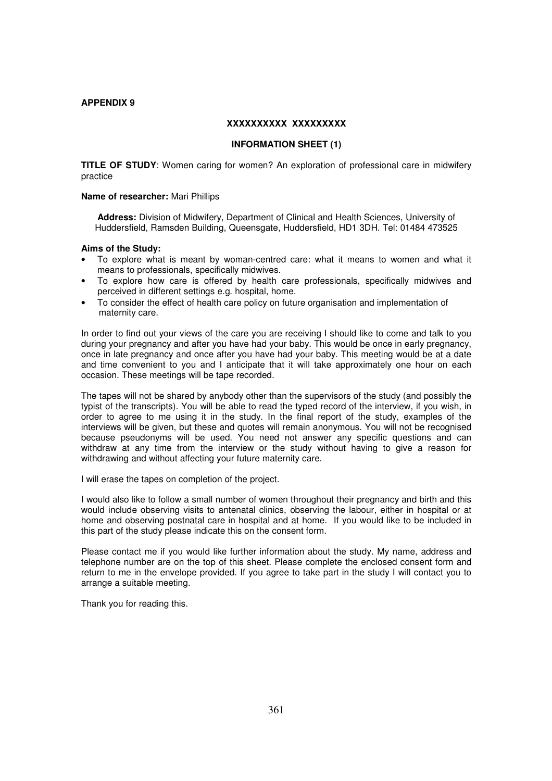#### **XXXXXXXXXX XXXXXXXXX**

#### **INFORMATION SHEET (1)**

**TITLE OF STUDY**: Women caring for women? An exploration of professional care in midwifery practice

#### **Name of researcher:** Mari Phillips

**Address:** Division of Midwifery, Department of Clinical and Health Sciences, University of Huddersfield, Ramsden Building, Queensgate, Huddersfield, HD1 3DH. Tel: 01484 473525

#### **Aims of the Study:**

- To explore what is meant by woman-centred care: what it means to women and what it means to professionals, specifically midwives.
- To explore how care is offered by health care professionals, specifically midwives and perceived in different settings e.g. hospital, home.
- To consider the effect of health care policy on future organisation and implementation of maternity care.

In order to find out your views of the care you are receiving I should like to come and talk to you during your pregnancy and after you have had your baby. This would be once in early pregnancy, once in late pregnancy and once after you have had your baby. This meeting would be at a date and time convenient to you and I anticipate that it will take approximately one hour on each occasion. These meetings will be tape recorded.

The tapes will not be shared by anybody other than the supervisors of the study (and possibly the typist of the transcripts). You will be able to read the typed record of the interview, if you wish, in order to agree to me using it in the study. In the final report of the study, examples of the interviews will be given, but these and quotes will remain anonymous. You will not be recognised because pseudonyms will be used. You need not answer any specific questions and can withdraw at any time from the interview or the study without having to give a reason for withdrawing and without affecting your future maternity care.

I will erase the tapes on completion of the project.

I would also like to follow a small number of women throughout their pregnancy and birth and this would include observing visits to antenatal clinics, observing the labour, either in hospital or at home and observing postnatal care in hospital and at home. If you would like to be included in this part of the study please indicate this on the consent form.

Please contact me if you would like further information about the study. My name, address and telephone number are on the top of this sheet. Please complete the enclosed consent form and return to me in the envelope provided. If you agree to take part in the study I will contact you to arrange a suitable meeting.

Thank you for reading this.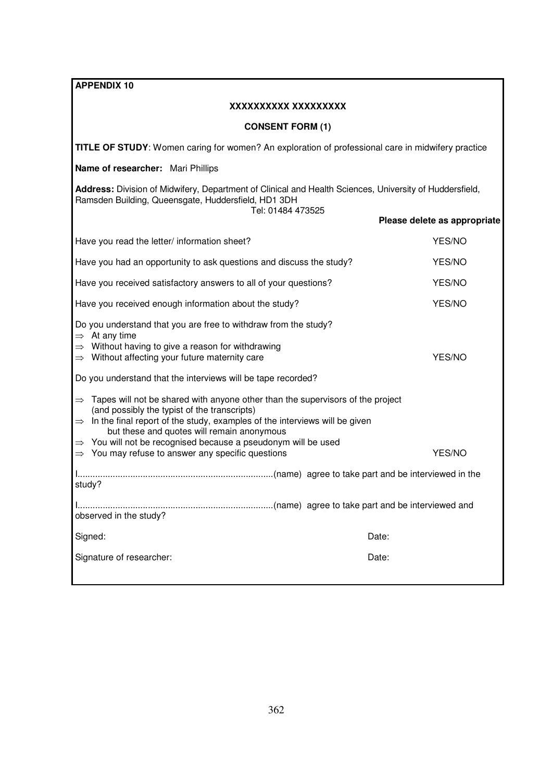| <b>APPENDIX 10</b>                                                                                                                                                                                                                                                                        |                              |  |  |  |
|-------------------------------------------------------------------------------------------------------------------------------------------------------------------------------------------------------------------------------------------------------------------------------------------|------------------------------|--|--|--|
| XXXXXXXXX XXXXXXXXX                                                                                                                                                                                                                                                                       |                              |  |  |  |
| <b>CONSENT FORM (1)</b>                                                                                                                                                                                                                                                                   |                              |  |  |  |
| TITLE OF STUDY: Women caring for women? An exploration of professional care in midwifery practice                                                                                                                                                                                         |                              |  |  |  |
| Name of researcher: Mari Phillips                                                                                                                                                                                                                                                         |                              |  |  |  |
| Address: Division of Midwifery, Department of Clinical and Health Sciences, University of Huddersfield,<br>Ramsden Building, Queensgate, Huddersfield, HD1 3DH<br>Tel: 01484 473525                                                                                                       |                              |  |  |  |
|                                                                                                                                                                                                                                                                                           | Please delete as appropriate |  |  |  |
| Have you read the letter/ information sheet?                                                                                                                                                                                                                                              | YES/NO                       |  |  |  |
| Have you had an opportunity to ask questions and discuss the study?                                                                                                                                                                                                                       | YES/NO                       |  |  |  |
| Have you received satisfactory answers to all of your questions?                                                                                                                                                                                                                          | YES/NO                       |  |  |  |
| Have you received enough information about the study?                                                                                                                                                                                                                                     | YES/NO                       |  |  |  |
| Do you understand that you are free to withdraw from the study?<br>$\Rightarrow$ At any time<br>$\Rightarrow$ Without having to give a reason for withdrawing<br>$\Rightarrow$ Without affecting your future maternity care                                                               | YES/NO                       |  |  |  |
| Do you understand that the interviews will be tape recorded?                                                                                                                                                                                                                              |                              |  |  |  |
| Tapes will not be shared with anyone other than the supervisors of the project<br>$\Rightarrow$<br>(and possibly the typist of the transcripts)<br>$\Rightarrow$ In the final report of the study, examples of the interviews will be given<br>but these and quotes will remain anonymous |                              |  |  |  |
| $\Rightarrow$ You will not be recognised because a pseudonym will be used<br>You may refuse to answer any specific questions<br>$\Rightarrow$                                                                                                                                             | YES/NO                       |  |  |  |
| study?                                                                                                                                                                                                                                                                                    |                              |  |  |  |
| observed in the study?                                                                                                                                                                                                                                                                    |                              |  |  |  |
| Signed:<br>Date:                                                                                                                                                                                                                                                                          |                              |  |  |  |
| Signature of researcher:<br>Date:                                                                                                                                                                                                                                                         |                              |  |  |  |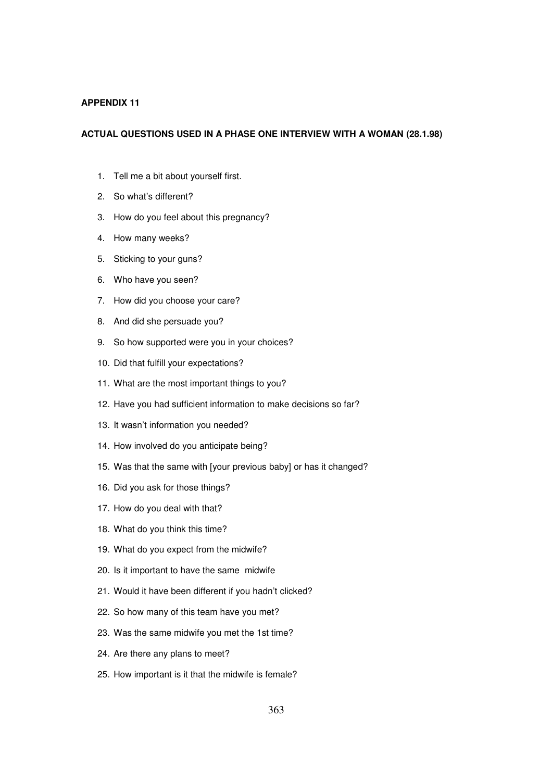#### **ACTUAL QUESTIONS USED IN A PHASE ONE INTERVIEW WITH A WOMAN (28.1.98)**

- 1. Tell me a bit about yourself first.
- 2. So what's different?
- 3. How do you feel about this pregnancy?
- 4. How many weeks?
- 5. Sticking to your guns?
- 6. Who have you seen?
- 7. How did you choose your care?
- 8. And did she persuade you?
- 9. So how supported were you in your choices?
- 10. Did that fulfill your expectations?
- 11. What are the most important things to you?
- 12. Have you had sufficient information to make decisions so far?
- 13. It wasn't information you needed?
- 14. How involved do you anticipate being?
- 15. Was that the same with [your previous baby] or has it changed?
- 16. Did you ask for those things?
- 17. How do you deal with that?
- 18. What do you think this time?
- 19. What do you expect from the midwife?
- 20. Is it important to have the same midwife
- 21. Would it have been different if you hadn't clicked?
- 22. So how many of this team have you met?
- 23. Was the same midwife you met the 1st time?
- 24. Are there any plans to meet?
- 25. How important is it that the midwife is female?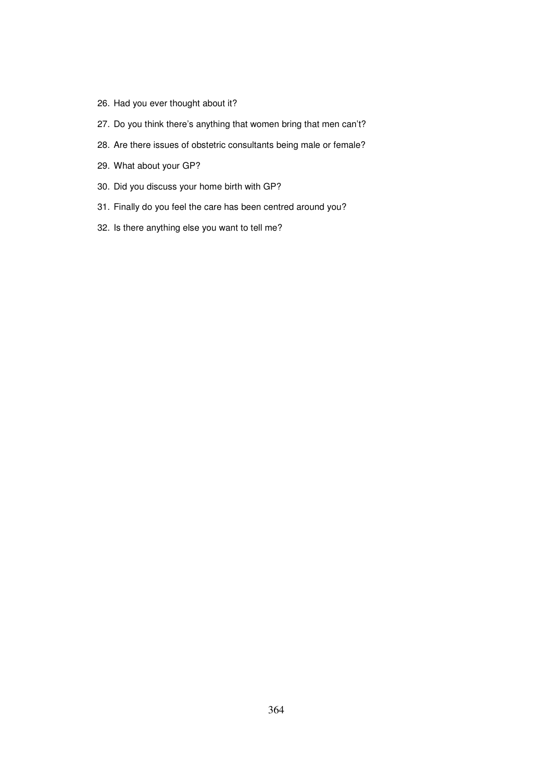- 26. Had you ever thought about it?
- 27. Do you think there's anything that women bring that men can't?
- 28. Are there issues of obstetric consultants being male or female?
- 29. What about your GP?
- 30. Did you discuss your home birth with GP?
- 31. Finally do you feel the care has been centred around you?
- 32. Is there anything else you want to tell me?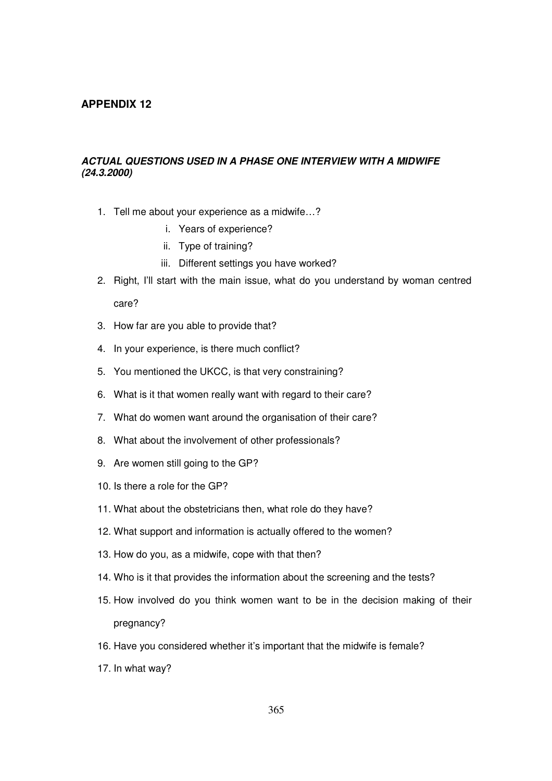## **ACTUAL QUESTIONS USED IN A PHASE ONE INTERVIEW WITH A MIDWIFE (24.3.2000)**

- 1. Tell me about your experience as a midwife…?
	- i. Years of experience?
	- ii. Type of training?
	- iii. Different settings you have worked?
- 2. Right, I'll start with the main issue, what do you understand by woman centred care?
- 3. How far are you able to provide that?
- 4. In your experience, is there much conflict?
- 5. You mentioned the UKCC, is that very constraining?
- 6. What is it that women really want with regard to their care?
- 7. What do women want around the organisation of their care?
- 8. What about the involvement of other professionals?
- 9. Are women still going to the GP?
- 10. Is there a role for the GP?
- 11. What about the obstetricians then, what role do they have?
- 12. What support and information is actually offered to the women?
- 13. How do you, as a midwife, cope with that then?
- 14. Who is it that provides the information about the screening and the tests?
- 15. How involved do you think women want to be in the decision making of their pregnancy?
- 16. Have you considered whether it's important that the midwife is female?
- 17. In what way?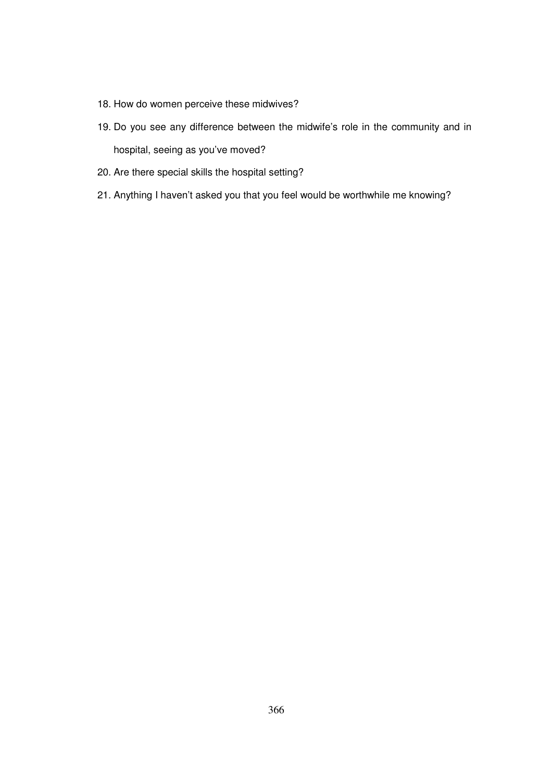- 18. How do women perceive these midwives?
- 19. Do you see any difference between the midwife's role in the community and in hospital, seeing as you've moved?
- 20. Are there special skills the hospital setting?
- 21. Anything I haven't asked you that you feel would be worthwhile me knowing?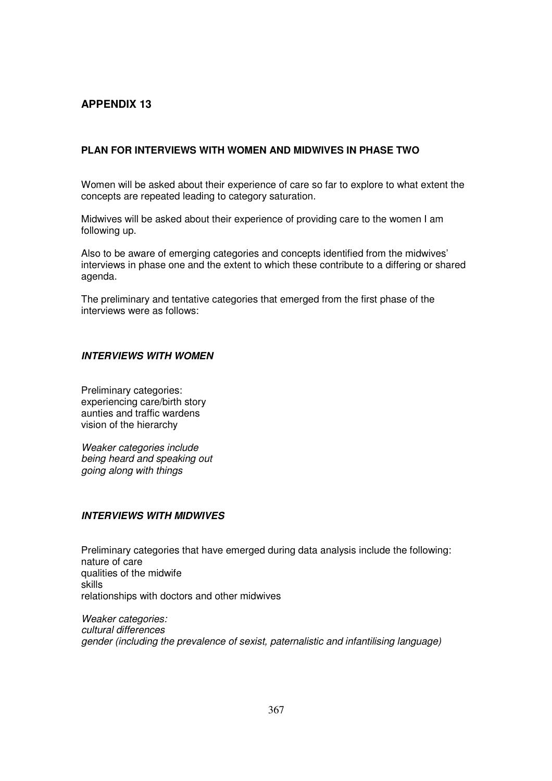## **PLAN FOR INTERVIEWS WITH WOMEN AND MIDWIVES IN PHASE TWO**

Women will be asked about their experience of care so far to explore to what extent the concepts are repeated leading to category saturation.

Midwives will be asked about their experience of providing care to the women I am following up.

Also to be aware of emerging categories and concepts identified from the midwives' interviews in phase one and the extent to which these contribute to a differing or shared agenda.

The preliminary and tentative categories that emerged from the first phase of the interviews were as follows:

## **INTERVIEWS WITH WOMEN**

Preliminary categories: experiencing care/birth story aunties and traffic wardens vision of the hierarchy

Weaker categories include being heard and speaking out going along with things

## **INTERVIEWS WITH MIDWIVES**

Preliminary categories that have emerged during data analysis include the following: nature of care qualities of the midwife skills relationships with doctors and other midwives

Weaker categories: cultural differences gender (including the prevalence of sexist, paternalistic and infantilising language)